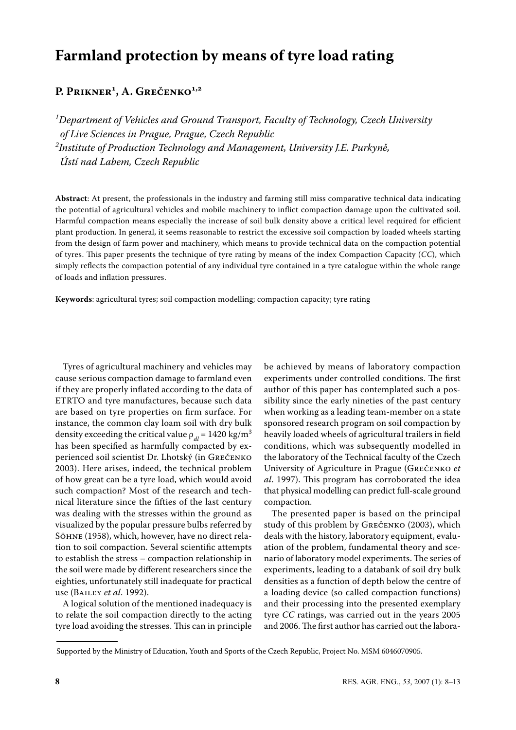# **Farmland protection by means of tyre load rating**

# **P. Prikner1 , A. Grečenko1,2**

*1 Department of Vehicles and Ground Transport, Faculty of Technology, Czech University of Live Sciences in Prague, Prague, Czech Republic 2 Institute of Production Technology and Management, University J.E. Purkyně, Ústí nad Labem, Czech Republic*

**Abstract**: At present, the professionals in the industry and farming still miss comparative technical data indicating the potential of agricultural vehicles and mobile machinery to inflict compaction damage upon the cultivated soil. Harmful compaction means especially the increase of soil bulk density above a critical level required for efficient plant production. In general, it seems reasonable to restrict the excessive soil compaction by loaded wheels starting from the design of farm power and machinery, which means to provide technical data on the compaction potential of tyres. This paper presents the technique of tyre rating by means of the index Compaction Capacity (*CC*), which simply reflects the compaction potential of any individual tyre contained in a tyre catalogue within the whole range of loads and inflation pressures.

**Keywords**: agricultural tyres; soil compaction modelling; compaction capacity; tyre rating

Tyres of agricultural machinery and vehicles may cause serious compaction damage to farmland even if they are properly inflated according to the data of ETRTO and tyre manufactures, because such data are based on tyre properties on firm surface. For instance, the common clay loam soil with dry bulk density exceeding the critical value  $\rho_{dI} = 1420 \text{ kg/m}^3$ has been specified as harmfully compacted by experienced soil scientist Dr. Lhotský (in Grečenko 2003). Here arises, indeed, the technical problem of how great can be a tyre load, which would avoid such compaction? Most of the research and technical literature since the fifties of the last century was dealing with the stresses within the ground as visualized by the popular pressure bulbs referred by Söhne (1958), which, however, have no direct relation to soil compaction. Several scientific attempts to establish the stress – compaction relationship in the soil were made by different researchers since the eighties, unfortunately still inadequate for practical use (Bailey *et al*. 1992).

A logical solution of the mentioned inadequacy is to relate the soil compaction directly to the acting tyre load avoiding the stresses. This can in principle

be achieved by means of laboratory compaction experiments under controlled conditions. The first author of this paper has contemplated such a possibility since the early nineties of the past century when working as a leading team-member on a state sponsored research program on soil compaction by heavily loaded wheels of agricultural trailers in field conditions, which was subsequently modelled in the laboratory of the Technical faculty of the Czech University of Agriculture in Prague (Grečenko *et al*. 1997). This program has corroborated the idea that physical modelling can predict full-scale ground compaction.

The presented paper is based on the principal study of this problem by Grečenko (2003), which deals with the history, laboratory equipment, evaluation of the problem, fundamental theory and scenario of laboratory model experiments. The series of experiments, leading to a databank of soil dry bulk densities as a function of depth below the centre of a loading device (so called compaction functions) and their processing into the presented exemplary tyre *CC* ratings, was carried out in the years 2005 and 2006. The first author has carried out the labora-

Supported by the Ministry of Education, Youth and Sports of the Czech Republic, Project No. MSM 6046070905.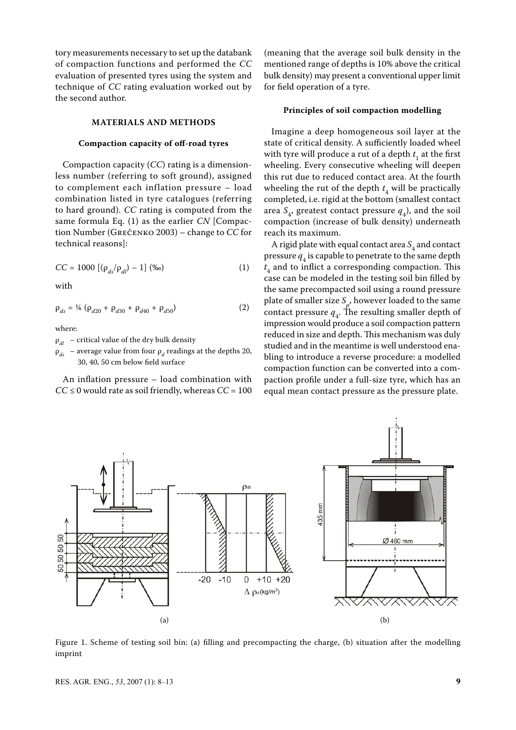tory measurements necessary to set up the databank of compaction functions and performed the *CC* evaluation of presented tyres using the system and technique of *CC* rating evaluation worked out by the second author.

#### **Materials and methods**

#### **Compaction capacity of off-road tyres**

Compaction capacity (*CC*) rating is a dimensionless number (referring to soft ground), assigned to complement each inflation pressure – load combination listed in tyre catalogues (referring to hard ground). *CC* rating is computed from the same formula Eq. (1) as the earlier *CN* [Compaction Number (Grečenko 2003) – change to *CC* for technical reasons]:

$$
CC = 1000 [(\rho_{ds}/\rho_{dl}) - 1] \quad \text{(*)} \tag{1}
$$

with

$$
\rho_{ds} = \frac{1}{4} \left( \rho_{d20} + \rho_{d30} + \rho_{d40} + \rho_{d50} \right) \tag{2}
$$

where:

ρ*dl* – critical value of the dry bulk density

 $\rho_{ds}$  – average value from four  $\rho_d$  readings at the depths 20, 30, 40, 50 cm below field surface

An inflation pressure – load combination with  $CC \leq 0$  would rate as soil friendly, whereas  $CC = 100$ 

(meaning that the average soil bulk density in the mentioned range of depths is 10% above the critical bulk density) may present a conventional upper limit for field operation of a tyre.

## **Principles of soil compaction modelling**

Imagine a deep homogeneous soil layer at the state of critical density. A sufficiently loaded wheel with tyre will produce a rut of a depth *t* at the first wheeling. Every consecutive wheeling will deepen this rut due to reduced contact area. At the fourth wheeling the rut of the depth  $t_4$  will be practically completed, i.e. rigid at the bottom (smallest contact area  $S_4$ , greatest contact pressure  $q_4$ ), and the soil compaction (increase of bulk density) underneath reach its maximum.

A rigid plate with equal contact area  $S_4$  and contact pressure  $q_4$  is capable to penetrate to the same depth *t* 4 and to inflict a corresponding compaction. This case can be modeled in the testing soil bin filled by the same precompacted soil using a round pressure plate of smaller size *S* , however loaded to the same contact pressure  $q_4$ . The resulting smaller depth of impression would produce a soil compaction pattern reduced in size and depth. This mechanism was duly studied and in the meantime is well understood enabling to introduce a reverse procedure: a modelled compaction function can be converted into a compaction profile under a full-size tyre, which has an equal mean contact pressure as the pressure plate.



Figure 1. Scheme of testing soil bin: (a) filling and precompacting the charge, (b) situation after the modelling imprint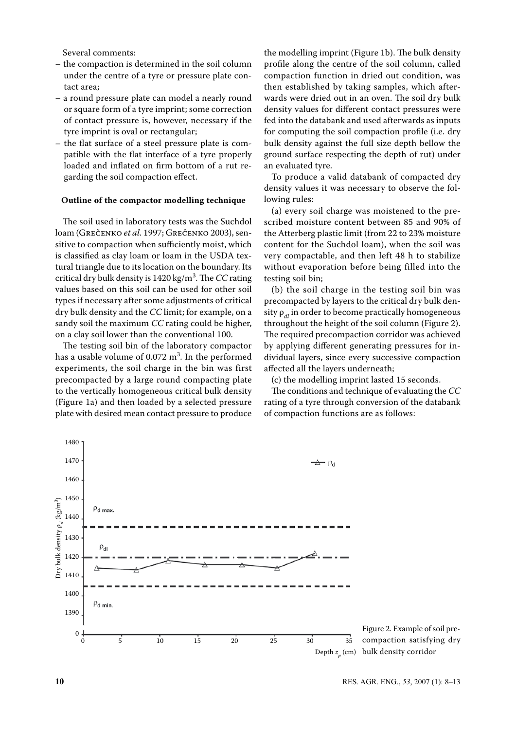Several comments:

- the compaction is determined in the soil column under the centre of a tyre or pressure plate contact area;
- a round pressure plate can model a nearly round or square form of a tyre imprint; some correction of contact pressure is, however, necessary if the tyre imprint is oval or rectangular;
- the flat surface of a steel pressure plate is compatible with the flat interface of a tyre properly loaded and inflated on firm bottom of a rut regarding the soil compaction effect.

#### **Outline of the compactor modelling technique**

The soil used in laboratory tests was the Suchdol loam (Grečenko *et al.* 1997; Grečenko 2003), sensitive to compaction when sufficiently moist, which is classified as clay loam or loam in the USDA textural triangle due to its location on the boundary. Its critical dry bulk density is 1420 kg/m<sup>3</sup> . The *CC* rating values based on this soil can be used for other soil types if necessary after some adjustments of critical dry bulk density and the *CC* limit; for example, on a sandy soil the maximum *CC* rating could be higher, on a clay soil lower than the conventional 100.

The testing soil bin of the laboratory compactor has a usable volume of 0.072  $m^3$ . In the performed experiments, the soil charge in the bin was first precompacted by a large round compacting plate to the vertically homogeneous critical bulk density (Figure 1a) and then loaded by a selected pressure plate with desired mean contact pressure to produce

the modelling imprint (Figure 1b). The bulk density profile along the centre of the soil column, called compaction function in dried out condition, was then established by taking samples, which afterwards were dried out in an oven. The soil dry bulk density values for different contact pressures were fed into the databank and used afterwards as inputs for computing the soil compaction profile (i.e. dry bulk density against the full size depth bellow the ground surface respecting the depth of rut) under an evaluated tyre.

To produce a valid databank of compacted dry density values it was necessary to observe the following rules:

(a) every soil charge was moistened to the prescribed moisture content between 85 and 90% of the Atterberg plastic limit (from 22 to 23% moisture content for the Suchdol loam), when the soil was very compactable, and then left 48 h to stabilize without evaporation before being filled into the testing soil bin;

(b) the soil charge in the testing soil bin was precompacted by layers to the critical dry bulk density *ρ<sub>dl</sub>* in order to become practically homogeneous throughout the height of the soil column (Figure 2). The required precompaction corridor was achieved by applying different generating pressures for individual layers, since every successive compaction affected all the layers underneath;

(c) the modelling imprint lasted 15 seconds.

The conditions and technique of evaluating the *CC* rating of a tyre through conversion of the databank of compaction functions are as follows:

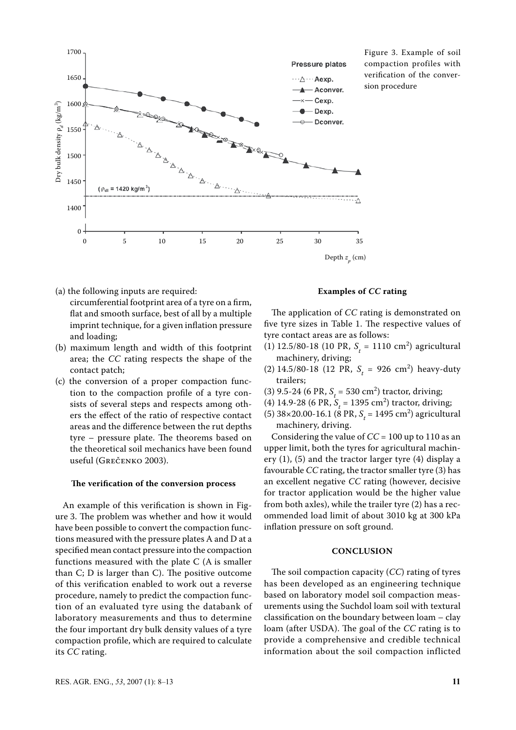

Figure 3. Example of soil compaction profiles with verification of the conversion procedure

(a) the following inputs are required:

circumferential footprint area of a tyre on a firm, flat and smooth surface, best of all by a multiple imprint technique, for a given inflation pressure and loading;

- (b) maximum length and width of this footprint area; the *CC* rating respects the shape of the contact patch;
- (c) the conversion of a proper compaction function to the compaction profile of a tyre consists of several steps and respects among others the effect of the ratio of respective contact areas and the difference between the rut depths tyre – pressure plate. The theorems based on the theoretical soil mechanics have been found useful (Grečenko 2003).

#### **The verification of the conversion process**

An example of this verification is shown in Figure 3. The problem was whether and how it would have been possible to convert the compaction functions measured with the pressure plates A and D at a specified mean contact pressure into the compaction functions measured with the plate C (A is smaller than C; D is larger than C). The positive outcome of this verification enabled to work out a reverse procedure, namely to predict the compaction function of an evaluated tyre using the databank of laboratory measurements and thus to determine the four important dry bulk density values of a tyre compaction profile, which are required to calculate its *CC* rating.

#### **Examples of** *CC* **rating**

The application of *CC* rating is demonstrated on five tyre sizes in Table 1. The respective values of tyre contact areas are as follows:

- (1) 12.5/80-18 (10 PR,  $S_t = 1110 \text{ cm}^2$ ) agricultural machinery, driving;
- (2)  $14.5/80-18$  (12 PR,  $S_t = 926$  cm<sup>2</sup>) heavy-duty trailers;
- (3) 9.5-24 (6 PR,  $S_t = 530 \text{ cm}^2$ ) tractor, driving;
- (4) 14.9-28 (6 PR,  $S_t = 1395 \text{ cm}^2$ ) tractor, driving;
- (5)  $38 \times 20.00 16.1$  (8 PR,  $S_t = 1495$  cm<sup>2</sup>) agricultural machinery, driving.

Considering the value of *CC* = 100 up to 110 as an upper limit, both the tyres for agricultural machinery (1), (5) and the tractor larger tyre (4) display a favourable *CC* rating, the tractor smaller tyre (3) has an excellent negative *CC* rating (however, decisive for tractor application would be the higher value from both axles), while the trailer tyre (2) has a recommended load limit of about 3010 kg at 300 kPa inflation pressure on soft ground.

#### **Conclusion**

The soil compaction capacity (*CC*) rating of tyres has been developed as an engineering technique based on laboratory model soil compaction measurements using the Suchdol loam soil with textural classification on the boundary between loam – clay loam (after USDA). The goal of the *CC* rating is to provide a comprehensive and credible technical information about the soil compaction inflicted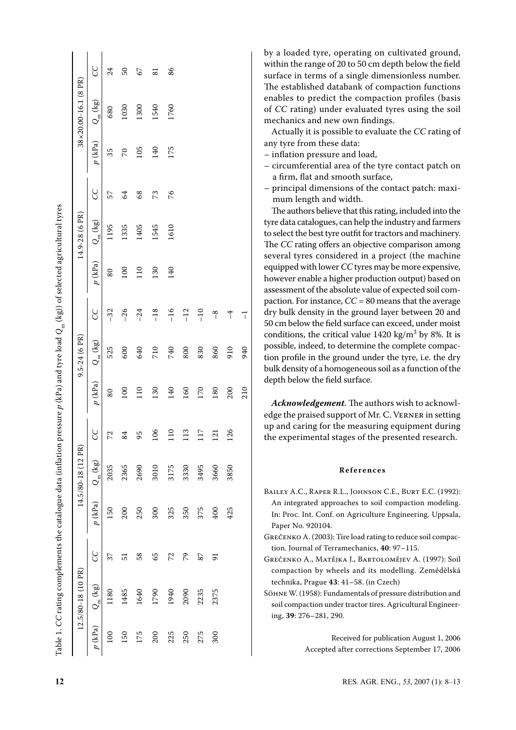|                               | CC                                   |              |                  |               |                 |                 |                |               |                |                |                | by a loaded tyre, operating on cultivated ground,                                                                                                                                                                                                                                                                     |
|-------------------------------|--------------------------------------|--------------|------------------|---------------|-----------------|-----------------|----------------|---------------|----------------|----------------|----------------|-----------------------------------------------------------------------------------------------------------------------------------------------------------------------------------------------------------------------------------------------------------------------------------------------------------------------|
|                               |                                      | 24           | $50\,$           | 57            | $\overline{81}$ | 86              |                |               |                |                |                | within the range of 20 to 50 cm depth below the field<br>surface in terms of a single dimensionless number.                                                                                                                                                                                                           |
| $38\times20.00 - 16.1$ (8 PR) | $Q_m$ (kg)                           | 680          | 1030             | 1300          | 1540            | 1760            |                |               |                |                |                | The established databank of compaction functions<br>enables to predict the compaction profiles (basis<br>of CC rating) under evaluated tyres using the soil<br>mechanics and new own findings.<br>Actually it is possible to evaluate the CC rating of<br>any tyre from these data:<br>- inflation pressure and load, |
|                               | (kPa)                                | 35           | $\sqrt{2}$       | 105           | 140             | 175             |                |               |                |                |                |                                                                                                                                                                                                                                                                                                                       |
|                               |                                      |              |                  |               |                 |                 |                |               |                |                |                | - circumferential area of the tyre contact patch on<br>a firm, flat and smooth surface,                                                                                                                                                                                                                               |
|                               | CC                                   | 57           | \$               | $\frac{8}{3}$ | 73              | $\frac{9}{7}$   |                |               |                |                |                | - principal dimensions of the contact patch: maxi-<br>mum length and width.<br>The authors believe that this rating, included into the                                                                                                                                                                                |
| 14.9-28 (6 PR)                | $Q_{\rm m}$ (kg)                     | 1195         | 1335             | 1405          | 1545            | 1610            |                |               |                |                |                | tyre data catalogues, can help the industry and farmers<br>to select the best tyre outfit for tractors and machinery.                                                                                                                                                                                                 |
|                               |                                      |              |                  |               |                 |                 |                |               |                |                |                | The CC rating offers an objective comparison among<br>several tyres considered in a project (the machine                                                                                                                                                                                                              |
|                               | (kPa)                                | $80\,$       | 100              | 110           | 130             | 140             |                |               |                |                |                | equipped with lower CC tyres may be more expensive,<br>however enable a higher production output) based on<br>assessment of the absolute value of expected soil com-                                                                                                                                                  |
|                               | CC                                   | $-32$        | $-26$            | $-24$         | $-18$           | $-16$           | $-12$          | $\frac{1}{1}$ | $-8$           | $\overline{1}$ | $\overline{1}$ | paction. For instance, $CC = 80$ means that the average<br>dry bulk density in the ground layer between 20 and                                                                                                                                                                                                        |
|                               |                                      |              |                  |               |                 |                 |                |               |                |                |                | 50 cm below the field surface can exceed, under moist<br>conditions, the critical value $1420 \text{ kg/m}^3$ by 8%. It is                                                                                                                                                                                            |
| $.5 - 24$ (6 PR)              | $Q_m^{\phantom{\dagger}}(\text{kg})$ | 525          | 600              | 640           | 710             | 740             | 800            | 830           | 860            | 910            | 940            | possible, indeed, to determine the complete compac-<br>tion profile in the ground under the tyre, i.e. the dry                                                                                                                                                                                                        |
| $\infty$                      |                                      |              |                  |               |                 |                 |                |               |                |                |                | bulk density of a homogeneous soil as a function of the<br>depth below the field surface.                                                                                                                                                                                                                             |
|                               | (kPa)                                | $_{\rm 80}$  | $\overline{100}$ | 110           | 130             | 140             | 160            | 170           | 180            | 200            | 210            | Acknowledgement. The authors wish to acknowl-                                                                                                                                                                                                                                                                         |
|                               |                                      |              |                  |               |                 |                 |                |               |                |                |                | edge the praised support of Mr. C. VERNER in setting                                                                                                                                                                                                                                                                  |
|                               | S                                    | $\mathbb{Z}$ | 84               | 95            | 66              | $\overline{10}$ | 13             | 17            | $\overline{c}$ | 26             |                | up and caring for the measuring equipment during<br>the experimental stages of the presented research.                                                                                                                                                                                                                |
| PR<br>14.5/80-18 (12          | $Q_{\rm m}$ (kg)                     | 2035         | 2365             | 2690          | 3010            | 3175            | 3330           | 3495          | 3660           | 3850           |                | References                                                                                                                                                                                                                                                                                                            |
|                               |                                      |              |                  |               |                 |                 |                |               |                |                |                | BAILEY A.C., RAPER R.L., JOHNSON C.E., BURT E.C. (1992):<br>An integrated approaches to soil compaction modeling                                                                                                                                                                                                      |
|                               | (kPa)<br>a                           | 150          | 200              | 250           | 300             | 325             | 350            | 375           | 400            | ro<br>42       |                | In: Proc. Int. Conf. on Agriculture Engineering. Uppsala<br>Paper No. 920104.                                                                                                                                                                                                                                         |
|                               |                                      |              |                  |               |                 |                 |                |               |                |                |                | GREČENKO A. (2003): Tire load rating to reduce soil compac-<br>tion. Journal of Terramechanics, 40: 97-115.                                                                                                                                                                                                           |
|                               | CC                                   | 57           | $\overline{51}$  | 58            | 65              | 72              | $\overline{2}$ | 87            | $\overline{5}$ |                |                | GREČENKO A., MATĚJKA J., BARTOLOMĚJEV A. (1997): Soil<br>compaction by wheels and its modelling. Zemědělská                                                                                                                                                                                                           |
|                               | (189)                                | 1180         | 1485             | 1640          | 1790            | 1940            | 2090           | 2235          | 2375           |                |                | technika, Prague 43: 41-58. (in Czech)<br>SÖHNE W. (1958): Fundamentals of pressure distribution and                                                                                                                                                                                                                  |
| 12.5/80-18 (10 PR)            | $Q^{[e]}$                            |              |                  |               |                 |                 |                |               |                |                |                | soil compaction under tractor tires. Agricultural Engineer-<br>ing, 39: 276-281, 290.                                                                                                                                                                                                                                 |
|                               | (kPa)                                | 100          | 150              | 175           | 200             | 225             | 250            | 275           | 300            |                |                | Received for publication August 1, 2006<br>Accepted after corrections September 17, 2006                                                                                                                                                                                                                              |
|                               |                                      |              |                  |               |                 |                 |                |               |                |                |                |                                                                                                                                                                                                                                                                                                                       |

- inflation pressure and load,
- circumferential area of the tyre contact patch on a firm, flat and smooth surface,
- principal dimensions of the contact patch: maxi mum length and width.

#### **Re f e r e n c e s**

- BAILEY A.C., RAPER R.L., JOHNSON C.E., BURT E.C. (1992): An integrated approaches to soil compaction modeling. In: Proc. Int. Conf. on Agriculture Engineering. Uppsala, Paper No. 920104.
- Grečenko A . (2003): Tire load rating to reduce soil compac tion. Journal of Terramechanics, **40**: 97–115.
- Grečenko A., Matějka J., Bartolomějev A. (1997): Soil compaction by wheels and its modelling. Zemědělská technika, Prague **43**: 41–58. (in Czech)
- Söhne W. (1958): Fundamentals of pressure distribution and soil compaction under tractor tires. Agricultural Engineer ing, **39**: 276–281, 290.